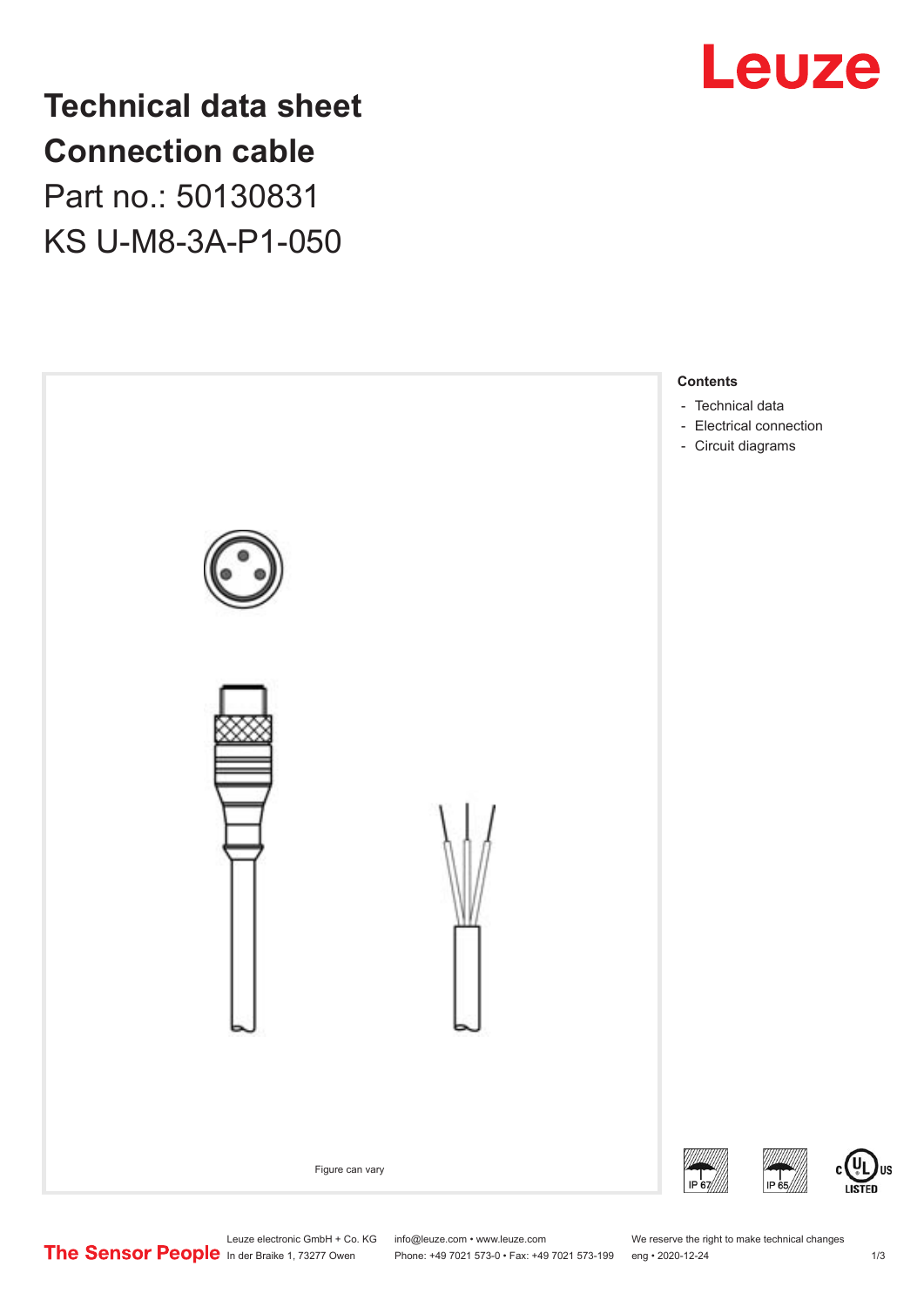

# **Technical data sheet Connection cable**

Part no.: 50130831 KS U-M8-3A-P1-050



US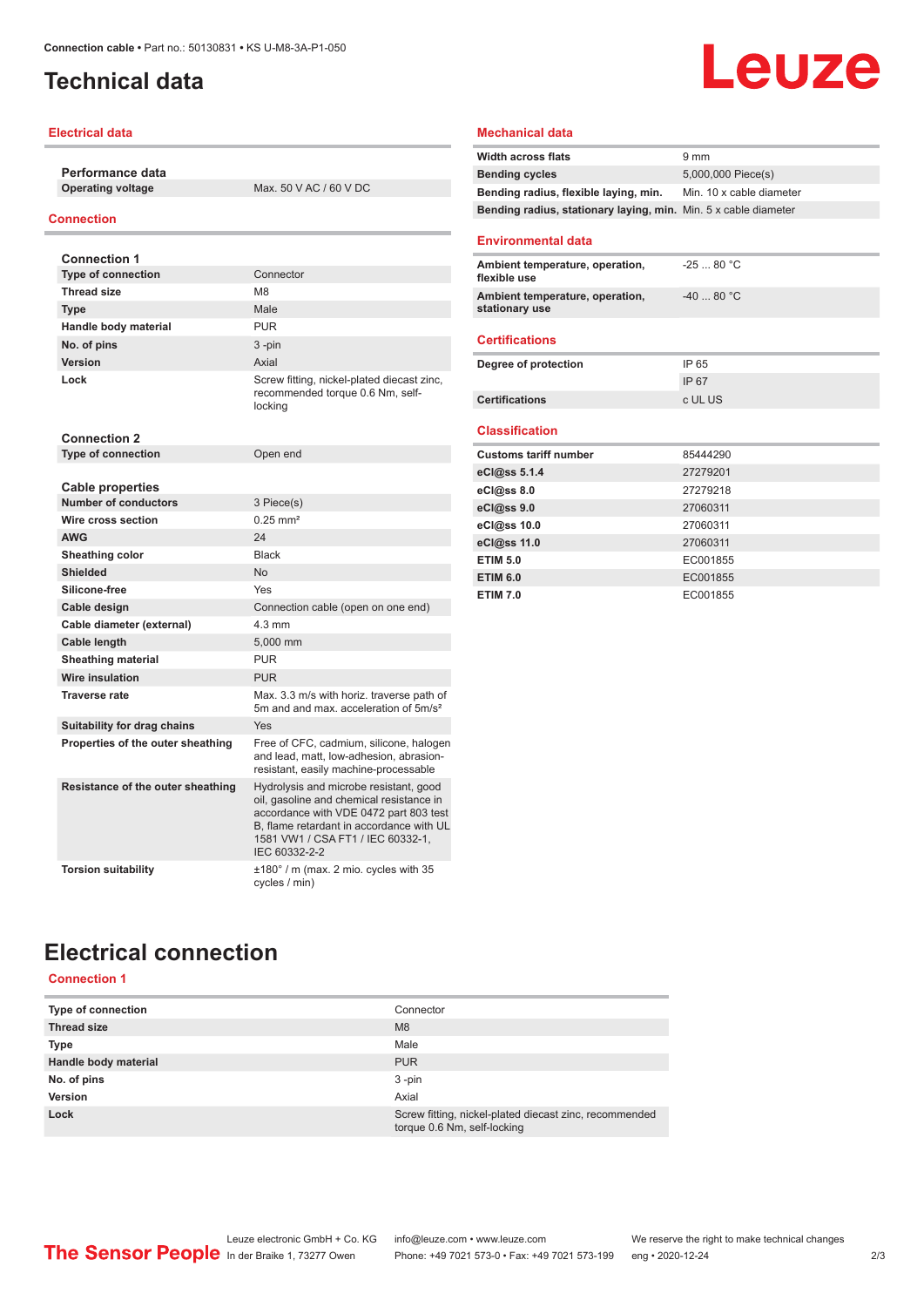## <span id="page-1-0"></span>**Technical data**

#### **Electrical data**

**Performance data**

**Max. 50 V AC / 60 V DC** 

#### **Connection**

| <b>Connection 1</b>                                    |                                                                                                                                                                                                                                |
|--------------------------------------------------------|--------------------------------------------------------------------------------------------------------------------------------------------------------------------------------------------------------------------------------|
| <b>Type of connection</b>                              | Connector                                                                                                                                                                                                                      |
| <b>Thread size</b>                                     | M <sub>8</sub>                                                                                                                                                                                                                 |
| <b>Type</b>                                            | Male                                                                                                                                                                                                                           |
| Handle body material                                   | PUR                                                                                                                                                                                                                            |
| No. of pins                                            | $3 - pin$                                                                                                                                                                                                                      |
| Version                                                | Axial                                                                                                                                                                                                                          |
| Lock                                                   | Screw fitting, nickel-plated diecast zinc,<br>recommended torque 0.6 Nm, self-<br>locking                                                                                                                                      |
| <b>Connection 2</b>                                    |                                                                                                                                                                                                                                |
| <b>Type of connection</b>                              | Open end                                                                                                                                                                                                                       |
|                                                        |                                                                                                                                                                                                                                |
| <b>Cable properties</b><br><b>Number of conductors</b> | 3 Piece(s)                                                                                                                                                                                                                     |
| Wire cross section                                     | $0.25$ mm <sup>2</sup>                                                                                                                                                                                                         |
| <b>AWG</b>                                             | 24                                                                                                                                                                                                                             |
|                                                        | <b>Black</b>                                                                                                                                                                                                                   |
| <b>Sheathing color</b><br><b>Shielded</b>              | N <sub>o</sub>                                                                                                                                                                                                                 |
| Silicone-free                                          | Yes                                                                                                                                                                                                                            |
|                                                        |                                                                                                                                                                                                                                |
| Cable design                                           | Connection cable (open on one end)<br>$4.3 \text{ mm}$                                                                                                                                                                         |
| Cable diameter (external)                              |                                                                                                                                                                                                                                |
| Cable length                                           | 5.000 mm                                                                                                                                                                                                                       |
| <b>Sheathing material</b>                              | <b>PUR</b>                                                                                                                                                                                                                     |
| <b>Wire insulation</b>                                 | <b>PUR</b>                                                                                                                                                                                                                     |
| <b>Traverse rate</b>                                   | Max. 3.3 m/s with horiz. traverse path of<br>5m and and max, acceleration of 5m/s <sup>2</sup>                                                                                                                                 |
| Suitability for drag chains                            | Yes                                                                                                                                                                                                                            |
| Properties of the outer sheathing                      | Free of CFC, cadmium, silicone, halogen<br>and lead, matt, low-adhesion, abrasion-<br>resistant, easily machine-processable                                                                                                    |
| Resistance of the outer sheathing                      | Hydrolysis and microbe resistant, good<br>oil, gasoline and chemical resistance in<br>accordance with VDE 0472 part 803 test<br>B, flame retardant in accordance with UL<br>1581 VW1 / CSA FT1 / IEC 60332-1,<br>IEC 60332-2-2 |
| <b>Torsion suitability</b>                             | ±180° / m (max. 2 mio. cycles with 35<br>cycles / min)                                                                                                                                                                         |

| <b>Width across flats</b>                                       | 9 <sub>mm</sub>          |
|-----------------------------------------------------------------|--------------------------|
| <b>Bending cycles</b>                                           | 5,000,000 Piece(s)       |
| Bending radius, flexible laying, min.                           | Min. 10 x cable diameter |
| Bending radius, stationary laying, min. Min. 5 x cable diameter |                          |
|                                                                 |                          |
| <b>Environmental data</b>                                       |                          |
| Ambient temperature, operation,<br>flexible use                 | $-2580 °C$               |
| Ambient temperature, operation,<br>stationary use               | $-4080 °C$               |
| <b>Certifications</b>                                           |                          |
| Degree of protection                                            | IP 65                    |
|                                                                 | IP 67                    |
| <b>Certifications</b>                                           | c UL US                  |
|                                                                 |                          |
| <b>Classification</b>                                           |                          |
| <b>Customs tariff number</b>                                    | 85444290                 |
| eCl@ss 5.1.4                                                    | 27279201                 |
| eCl@ss 8.0                                                      | 27279218                 |
| eCl@ss 9.0                                                      | 27060311                 |
| eCl@ss 10.0                                                     | 27060311                 |
| eCl@ss 11.0                                                     | 27060311                 |
| <b>ETIM 5.0</b>                                                 | EC001855                 |
| <b>ETIM 6.0</b>                                                 | EC001855                 |
| <b>ETIM 7.0</b>                                                 | EC001855                 |

**Leuze** 

## **Electrical connection**

**Connection 1**

| <b>Type of connection</b> | Connector                                                                             |
|---------------------------|---------------------------------------------------------------------------------------|
| <b>Thread size</b>        | M <sub>8</sub>                                                                        |
| <b>Type</b>               | Male                                                                                  |
| Handle body material      | <b>PUR</b>                                                                            |
| No. of pins               | $3 - pin$                                                                             |
| Version                   | Axial                                                                                 |
| Lock                      | Screw fitting, nickel-plated diecast zinc, recommended<br>torque 0.6 Nm, self-locking |